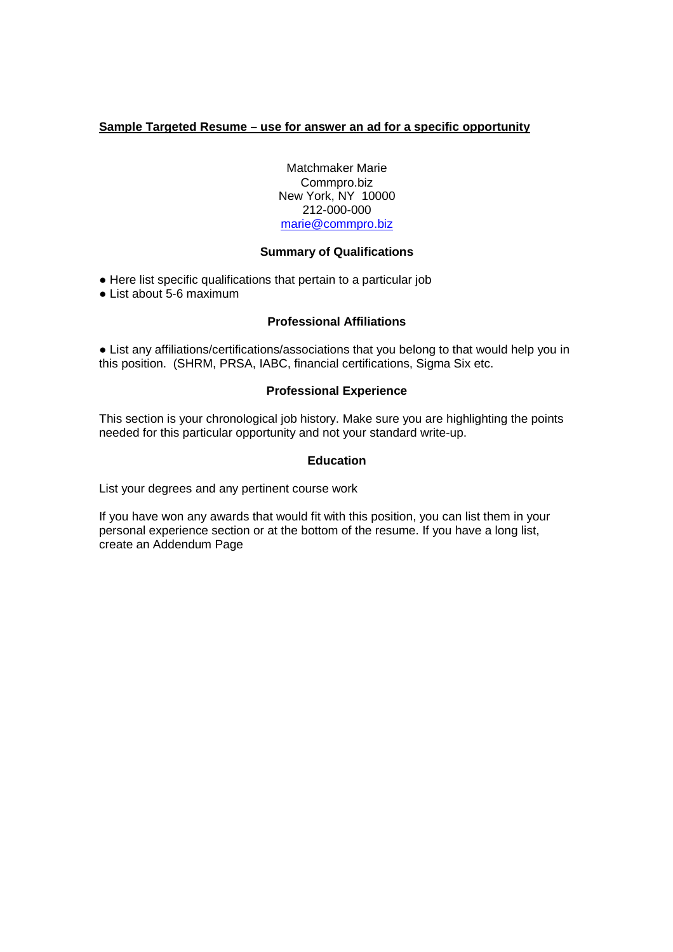# **Sample Targeted Resume – use for answer an ad for a specific opportunity**

Matchmaker Marie Commpro.biz New York, NY 10000 212-000-000 marie@commpro.biz

### **Summary of Qualifications**

**●** Here list specific qualifications that pertain to a particular job

● List about 5-6 maximum

### **Professional Affiliations**

**●** List any affiliations/certifications/associations that you belong to that would help you in this position. (SHRM, PRSA, IABC, financial certifications, Sigma Six etc.

### **Professional Experience**

This section is your chronological job history. Make sure you are highlighting the points needed for this particular opportunity and not your standard write-up.

### **Education**

List your degrees and any pertinent course work

If you have won any awards that would fit with this position, you can list them in your personal experience section or at the bottom of the resume. If you have a long list, create an Addendum Page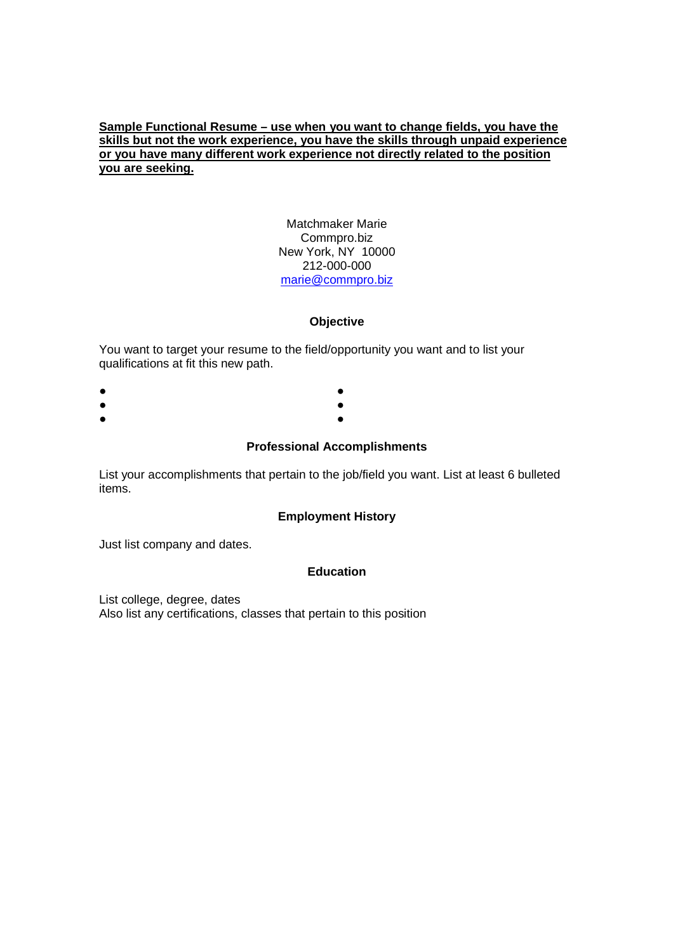# **Sample Functional Resume – use when you want to change fields, you have the skills but not the work experience, you have the skills through unpaid experience or you have many different work experience not directly related to the position you are seeking.**

#### Matchmaker Marie Commpro.biz New York, NY 10000 212-000-000 marie@commpro.biz

### **Objective**

You want to target your resume to the field/opportunity you want and to list your qualifications at fit this new path.

- ● ● ●
- ●

### **Professional Accomplishments**

List your accomplishments that pertain to the job/field you want. List at least 6 bulleted items.

### **Employment History**

Just list company and dates.

### **Education**

List college, degree, dates Also list any certifications, classes that pertain to this position